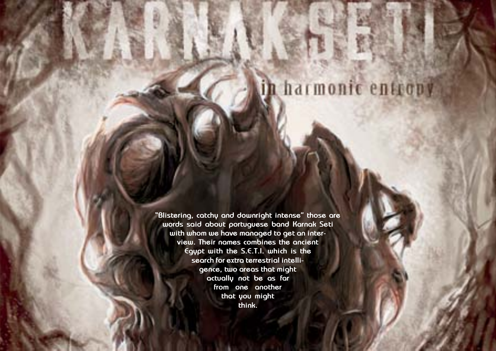Hallowed PDF-article Design by Daniel Källmalm



**"Blistering, catchy and downright intense" those are words said about portuguese band Karnak Seti with whom we have managed to get an interview. Their names combines the ancient Egypt with the S.E.T.I. which is the search for extra terrestrial intelligence, two areas that might actually not be as far from one another that you might think.**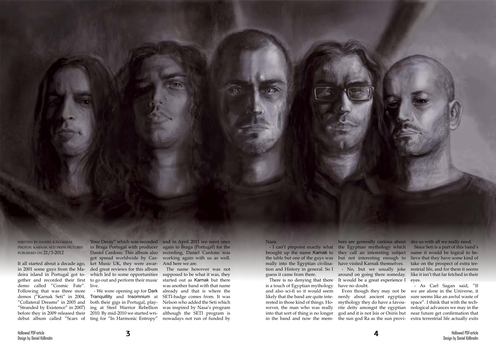written by daniel källmalm photos: karnak seti press pictures published on 21/3-2012

It all started about a decade ago, in 2001 some guys from the Madeira island in Portugal got together and recorded their first demo called "Cosmic Fate". Following that was three more demos ("Karnak Seti" in 2004, "Collateral Dreams" in 2005 and "Stranded by Existence" in 2007) before they in 2009 released their

in Braga Portugal with producer Daniel Cardoso. This album also got spread worldwide by Casket Music UK, they were awarded great reviews for this album which led to some opportunities to go out and perform their music live.

debut album called "Scars of ting for "In Harmonic Entropy" - We were opening up for Dark Tranquillity and Insomnium at both their gigs in Portugal, playing at Steel Warrior Rebellion 2010. By mid-2010 we started wri-

Your Decay" which was recorded and in April 2011 we went once again to Braga (Portugal) for the recording, Daniel Cardoso was working again with us as well. And here we are.

> The name however was not supposed to be what it was, they started out as Karnak but there was another band with that name already and that is where the SETI-badge comes from. It was Nelson who added the Seti which was inspired by Nasa's program although the SETI program is nowadays not run of funded by

- I can't pinpoint exactly what the Egyptian mythology which bers are generally curious about des us with all we really need. they call an interesting subject but not interesting enough to have visited Karnak themselves. - No, but we usually joke around on going there someday. It would be a great experience I eyes. Since Seti is a part of this band's name it would be logical to believe that they have some kind of take on the prospect of extra terrestrial life, and for them it seems like it isn't that far fetched in their

Nasa.

brought up the name Karnak to the table but one of the guys was really into the Egyptian civilisation and History in general. So I guess it came from there.

There is no denying that there is a touch of Egyptian mythology and also sci-fi so it would seem likely that the band are quite interested in those kind of things. However, the man who was really into that sort of thing is no longer in the band and now the memhave no doubt.

nerdy about ancient egyptian mythology they do have a favourite deity amongst the egyptian god and it is not Isis or Osiris but

Even though they may not be we are alone in the Universe, it the sun god Ra as the sun provi-extra terrestrial life actually exits - As Carl Sagan said, "If sure seems like an awful waste of space". I think that with the technological advances we may in the near future get confirmation that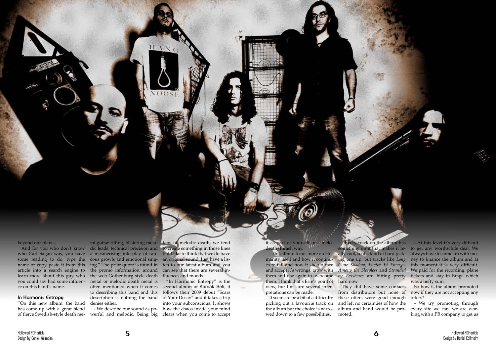beyond our planes.

some reading to do, type the name or copy paste it from this article into a search engine to learn more about this guy who ce on this band's name.

#### **In Harmonic Entropy**

"On this new album, the band has come up with a great blend of fierce Swedish-style death me-

And for you who don't know dic leads, technical precision and to create something in those lines who Carl Sagan was, you have a mesmerising interplay of rauyou could say had some influen-metal or melodic death metal is cous growls and emotional singing." The prior quote is found in the promo information, around the web Gothenburg style death often mentioned when it comes to describing this band and this description is nothing the band of Your Decay" and it takes a trip denies either.

tal guitar riffing, blistering melo-fans of melodic death, we tend but I like to think that we do have an original sound. Just have a listen to our latest album and you can see that there are several influences and moods.

- This album focus more on Hu- ally cool, so it's kind of hard pick-- Every track on the album has

- We describe our sound as powerful and melodic. Being big clears when you come to accept

"In Harmonic Entropy" is the second album of Karnak Seti, it follows their 2009 debut "Scars into your subconscious. It shows how the chaos inside your mind

it as part of yourself in a melodeath/thrash way.

manity itself and how it continu-ing one up, but tracks like *Long*  es to fail and how it should face *Gone Shadow*, *Luctor Et Emergo*, and accept it's wrongs, grow with *Among the Sleepless* and *Stranded*  them and rise again to overcome *by Existence* are hitting pretty them. I think that's Erre's point of hard now. view, but I'm sure several interpretations can be made.

picking out a favourite track on the album but the choice is narrowed down to a few possibilities.

It seems to be a bit of a difficulty these offers were good enough They did have some contacts from distributors but none of and left no certainties of how the album and band would be promoted.

something on it that makes it re-to get any worthwhile deal. We - At this level it's very difficult always have to come up with money to finance the album and at this moment it is very difficult. We paid for the recording, plane tickets and stay in Braga which was a hefty sum.

> So how is the album promoted now if they are not accepting any offers?

> - We try promoting through every site we can, we are working with a PR company to get us